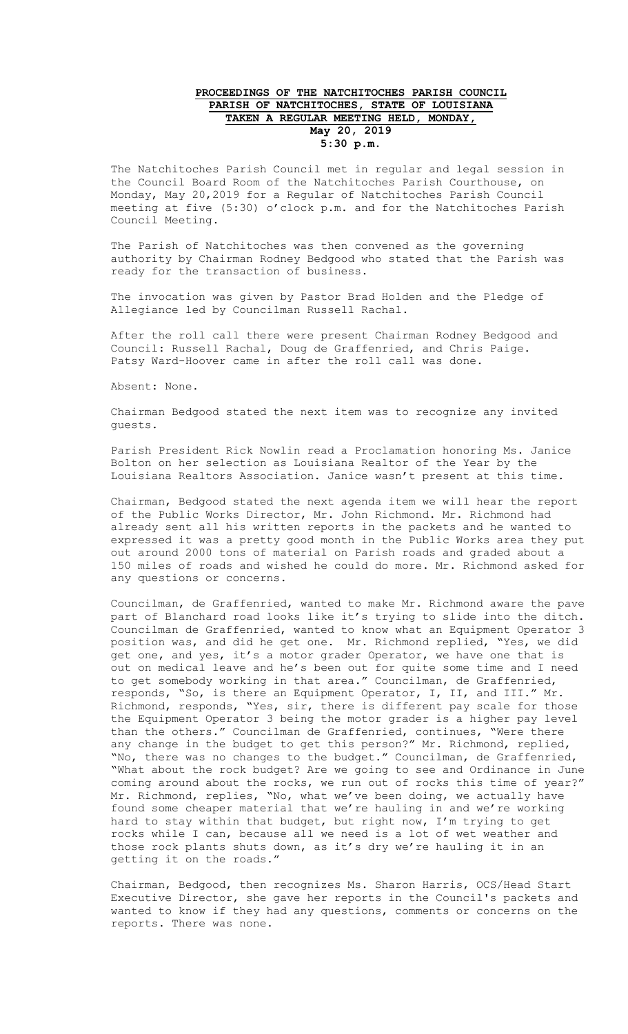## **PROCEEDINGS OF THE NATCHITOCHES PARISH COUNCIL PARISH OF NATCHITOCHES, STATE OF LOUISIANA TAKEN A REGULAR MEETING HELD, MONDAY, May 20, 2019 5:30 p.m.**

The Natchitoches Parish Council met in regular and legal session in the Council Board Room of the Natchitoches Parish Courthouse, on Monday, May 20,2019 for a Regular of Natchitoches Parish Council meeting at five (5:30) o'clock p.m. and for the Natchitoches Parish Council Meeting.

The Parish of Natchitoches was then convened as the governing authority by Chairman Rodney Bedgood who stated that the Parish was ready for the transaction of business.

The invocation was given by Pastor Brad Holden and the Pledge of Allegiance led by Councilman Russell Rachal.

After the roll call there were present Chairman Rodney Bedgood and Council: Russell Rachal, Doug de Graffenried, and Chris Paige. Patsy Ward-Hoover came in after the roll call was done.

Absent: None.

Chairman Bedgood stated the next item was to recognize any invited guests.

Parish President Rick Nowlin read a Proclamation honoring Ms. Janice Bolton on her selection as Louisiana Realtor of the Year by the Louisiana Realtors Association. Janice wasn't present at this time.

Chairman, Bedgood stated the next agenda item we will hear the report of the Public Works Director, Mr. John Richmond. Mr. Richmond had already sent all his written reports in the packets and he wanted to expressed it was a pretty good month in the Public Works area they put out around 2000 tons of material on Parish roads and graded about a 150 miles of roads and wished he could do more. Mr. Richmond asked for any questions or concerns.

Councilman, de Graffenried, wanted to make Mr. Richmond aware the pave part of Blanchard road looks like it's trying to slide into the ditch. Councilman de Graffenried, wanted to know what an Equipment Operator 3 position was, and did he get one. Mr. Richmond replied, "Yes, we did get one, and yes, it's a motor grader Operator, we have one that is out on medical leave and he's been out for quite some time and I need to get somebody working in that area." Councilman, de Graffenried, responds, "So, is there an Equipment Operator, I, II, and III." Mr. Richmond, responds, "Yes, sir, there is different pay scale for those the Equipment Operator 3 being the motor grader is a higher pay level than the others." Councilman de Graffenried, continues, "Were there any change in the budget to get this person?" Mr. Richmond, replied, "No, there was no changes to the budget." Councilman, de Graffenried, "What about the rock budget? Are we going to see and Ordinance in June coming around about the rocks, we run out of rocks this time of year?" Mr. Richmond, replies, "No, what we've been doing, we actually have found some cheaper material that we're hauling in and we're working hard to stay within that budget, but right now, I'm trying to get rocks while I can, because all we need is a lot of wet weather and those rock plants shuts down, as it's dry we're hauling it in an getting it on the roads."

Chairman, Bedgood, then recognizes Ms. Sharon Harris, OCS/Head Start Executive Director, she gave her reports in the Council's packets and wanted to know if they had any questions, comments or concerns on the reports. There was none.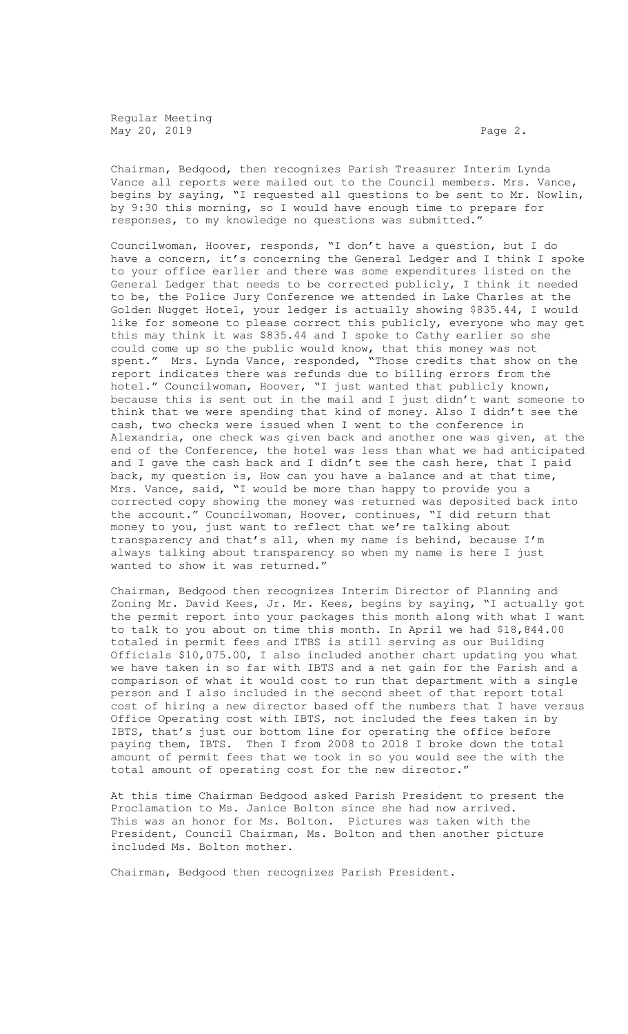Regular Meeting May 20, 2019 **Page 2.** 

Chairman, Bedgood, then recognizes Parish Treasurer Interim Lynda Vance all reports were mailed out to the Council members. Mrs. Vance, begins by saying, "I requested all questions to be sent to Mr. Nowlin, by 9:30 this morning, so I would have enough time to prepare for responses, to my knowledge no questions was submitted."

Councilwoman, Hoover, responds, "I don't have a question, but I do have a concern, it's concerning the General Ledger and I think I spoke to your office earlier and there was some expenditures listed on the General Ledger that needs to be corrected publicly, I think it needed to be, the Police Jury Conference we attended in Lake Charles at the Golden Nugget Hotel, your ledger is actually showing \$835.44, I would like for someone to please correct this publicly, everyone who may get this may think it was \$835.44 and I spoke to Cathy earlier so she could come up so the public would know, that this money was not spent." Mrs. Lynda Vance, responded, "Those credits that show on the report indicates there was refunds due to billing errors from the hotel." Councilwoman, Hoover, "I just wanted that publicly known, because this is sent out in the mail and I just didn't want someone to think that we were spending that kind of money. Also I didn't see the cash, two checks were issued when I went to the conference in Alexandria, one check was given back and another one was given, at the end of the Conference, the hotel was less than what we had anticipated and I gave the cash back and I didn't see the cash here, that I paid back, my question is, How can you have a balance and at that time, Mrs. Vance, said, "I would be more than happy to provide you a corrected copy showing the money was returned was deposited back into the account." Councilwoman, Hoover, continues, "I did return that money to you, just want to reflect that we're talking about transparency and that's all, when my name is behind, because I'm always talking about transparency so when my name is here I just wanted to show it was returned."

Chairman, Bedgood then recognizes Interim Director of Planning and Zoning Mr. David Kees, Jr. Mr. Kees, begins by saying, "I actually got the permit report into your packages this month along with what I want to talk to you about on time this month. In April we had \$18,844.00 totaled in permit fees and ITBS is still serving as our Building Officials \$10,075.00, I also included another chart updating you what we have taken in so far with IBTS and a net gain for the Parish and a comparison of what it would cost to run that department with a single person and I also included in the second sheet of that report total cost of hiring a new director based off the numbers that I have versus Office Operating cost with IBTS, not included the fees taken in by IBTS, that's just our bottom line for operating the office before paying them, IBTS. Then I from 2008 to 2018 I broke down the total amount of permit fees that we took in so you would see the with the total amount of operating cost for the new director."

At this time Chairman Bedgood asked Parish President to present the Proclamation to Ms. Janice Bolton since she had now arrived. This was an honor for Ms. Bolton. Pictures was taken with the President, Council Chairman, Ms. Bolton and then another picture included Ms. Bolton mother.

Chairman, Bedgood then recognizes Parish President.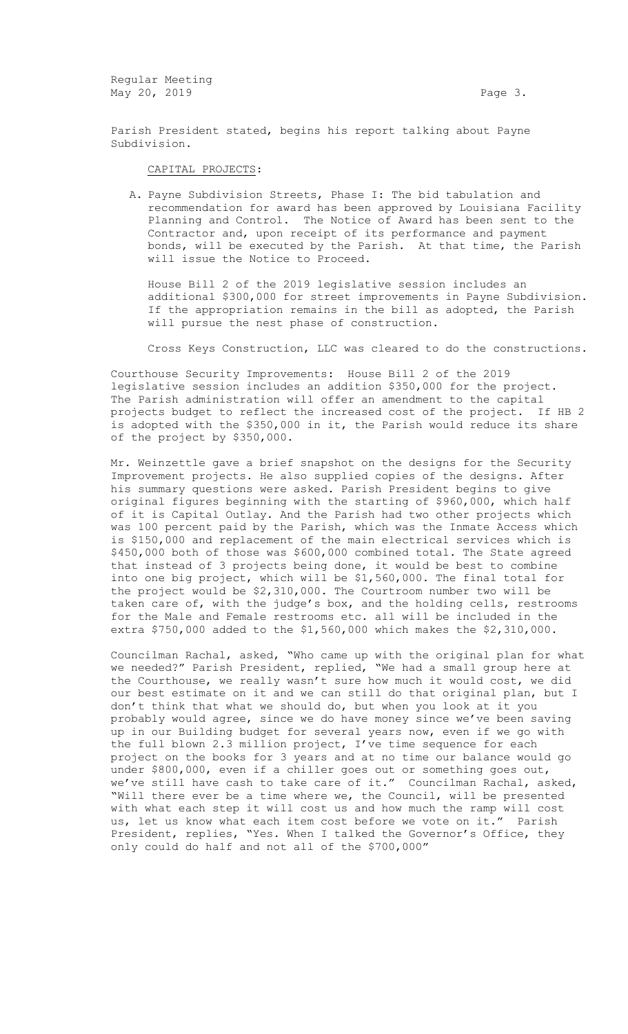Regular Meeting May 20, 2019 **Page 3. Page 3.** 

Parish President stated, begins his report talking about Payne Subdivision.

## CAPITAL PROJECTS:

A. Payne Subdivision Streets, Phase I: The bid tabulation and recommendation for award has been approved by Louisiana Facility Planning and Control. The Notice of Award has been sent to the Contractor and, upon receipt of its performance and payment bonds, will be executed by the Parish. At that time, the Parish will issue the Notice to Proceed.

House Bill 2 of the 2019 legislative session includes an additional \$300,000 for street improvements in Payne Subdivision. If the appropriation remains in the bill as adopted, the Parish will pursue the nest phase of construction.

Cross Keys Construction, LLC was cleared to do the constructions.

Courthouse Security Improvements: House Bill 2 of the 2019 legislative session includes an addition \$350,000 for the project. The Parish administration will offer an amendment to the capital projects budget to reflect the increased cost of the project. If HB 2 is adopted with the \$350,000 in it, the Parish would reduce its share of the project by \$350,000.

Mr. Weinzettle gave a brief snapshot on the designs for the Security Improvement projects. He also supplied copies of the designs. After his summary questions were asked. Parish President begins to give original figures beginning with the starting of \$960,000, which half of it is Capital Outlay. And the Parish had two other projects which was 100 percent paid by the Parish, which was the Inmate Access which is \$150,000 and replacement of the main electrical services which is \$450,000 both of those was \$600,000 combined total. The State agreed that instead of 3 projects being done, it would be best to combine into one big project, which will be \$1,560,000. The final total for the project would be \$2,310,000. The Courtroom number two will be taken care of, with the judge's box, and the holding cells, restrooms for the Male and Female restrooms etc. all will be included in the extra \$750,000 added to the \$1,560,000 which makes the \$2,310,000.

Councilman Rachal, asked, "Who came up with the original plan for what we needed?" Parish President, replied, "We had a small group here at the Courthouse, we really wasn't sure how much it would cost, we did our best estimate on it and we can still do that original plan, but I don't think that what we should do, but when you look at it you probably would agree, since we do have money since we've been saving up in our Building budget for several years now, even if we go with the full blown 2.3 million project, I've time sequence for each project on the books for 3 years and at no time our balance would go under \$800,000, even if a chiller goes out or something goes out, we've still have cash to take care of it." Councilman Rachal, asked, "Will there ever be a time where we, the Council, will be presented with what each step it will cost us and how much the ramp will cost us, let us know what each item cost before we vote on it." Parish President, replies, "Yes. When I talked the Governor's Office, they only could do half and not all of the \$700,000"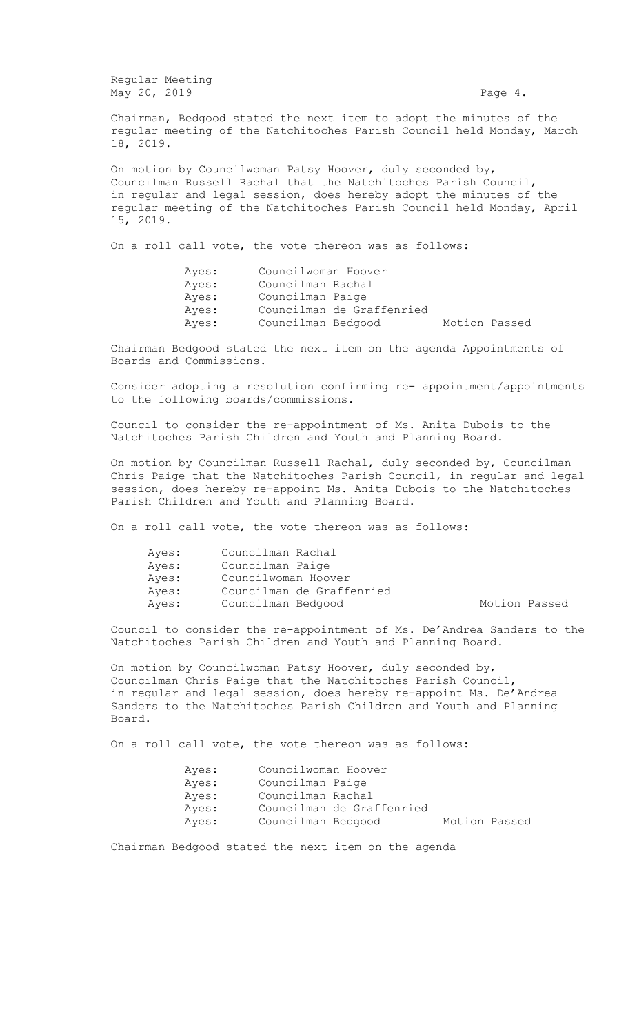Regular Meeting May 20, 2019 **Page 4.** 

Chairman, Bedgood stated the next item to adopt the minutes of the regular meeting of the Natchitoches Parish Council held Monday, March 18, 2019.

On motion by Councilwoman Patsy Hoover, duly seconded by, Councilman Russell Rachal that the Natchitoches Parish Council, in regular and legal session, does hereby adopt the minutes of the regular meeting of the Natchitoches Parish Council held Monday, April 15, 2019.

On a roll call vote, the vote thereon was as follows:

Ayes: Councilwoman Hoover Ayes: Councilman Rachal Ayes: Councilman Paige Ayes: Councilman de Graffenried Ayes: Councilman Bedgood Motion Passed

Chairman Bedgood stated the next item on the agenda Appointments of Boards and Commissions.

Consider adopting a resolution confirming re- appointment/appointments to the following boards/commissions.

Council to consider the re-appointment of Ms. Anita Dubois to the Natchitoches Parish Children and Youth and Planning Board.

On motion by Councilman Russell Rachal, duly seconded by, Councilman Chris Paige that the Natchitoches Parish Council, in regular and legal session, does hereby re-appoint Ms. Anita Dubois to the Natchitoches Parish Children and Youth and Planning Board.

On a roll call vote, the vote thereon was as follows:

| Ayes: | Councilman Rachal         |               |
|-------|---------------------------|---------------|
| Ayes: | Councilman Paige          |               |
| Ayes: | Councilwoman Hoover       |               |
| Ayes: | Councilman de Graffenried |               |
| Ayes: | Councilman Bedgood        | Motion Passed |

Council to consider the re-appointment of Ms. De'Andrea Sanders to the Natchitoches Parish Children and Youth and Planning Board.

On motion by Councilwoman Patsy Hoover, duly seconded by, Councilman Chris Paige that the Natchitoches Parish Council, in regular and legal session, does hereby re-appoint Ms. De'Andrea Sanders to the Natchitoches Parish Children and Youth and Planning Board.

On a roll call vote, the vote thereon was as follows:

|  | Motion Passed                                                                                                   |  |
|--|-----------------------------------------------------------------------------------------------------------------|--|
|  | Councilwoman Hoover<br>Councilman Paige<br>Councilman Rachal<br>Councilman de Graffenried<br>Councilman Bedgood |  |

Chairman Bedgood stated the next item on the agenda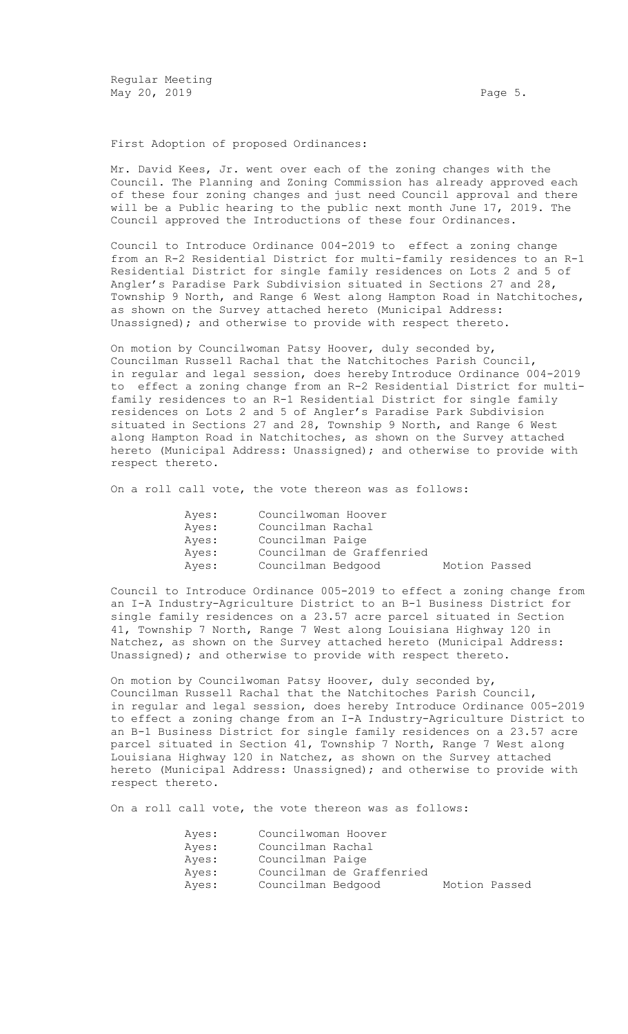Regular Meeting May 20, 2019 **Page 5. Page 5. Page 5. Page 5.** 

First Adoption of proposed Ordinances:

Mr. David Kees, Jr. went over each of the zoning changes with the Council. The Planning and Zoning Commission has already approved each of these four zoning changes and just need Council approval and there will be a Public hearing to the public next month June 17, 2019. The Council approved the Introductions of these four Ordinances.

Council to Introduce Ordinance 004-2019 to effect a zoning change from an R-2 Residential District for multi-family residences to an R-1 Residential District for single family residences on Lots 2 and 5 of Angler's Paradise Park Subdivision situated in Sections 27 and 28, Township 9 North, and Range 6 West along Hampton Road in Natchitoches, as shown on the Survey attached hereto (Municipal Address: Unassigned); and otherwise to provide with respect thereto.

On motion by Councilwoman Patsy Hoover, duly seconded by, Councilman Russell Rachal that the Natchitoches Parish Council, in regular and legal session, does hereby Introduce Ordinance 004-2019 to effect a zoning change from an R-2 Residential District for multifamily residences to an R-1 Residential District for single family residences on Lots 2 and 5 of Angler's Paradise Park Subdivision situated in Sections 27 and 28, Township 9 North, and Range 6 West along Hampton Road in Natchitoches, as shown on the Survey attached hereto (Municipal Address: Unassigned); and otherwise to provide with respect thereto.

On a roll call vote, the vote thereon was as follows:

| Ayes: | Councilwoman Hoover |                           |               |  |
|-------|---------------------|---------------------------|---------------|--|
| Ayes: | Councilman Rachal   |                           |               |  |
| Ayes: | Councilman Paige    |                           |               |  |
| Ayes: |                     | Councilman de Graffenried |               |  |
| Aves: | Councilman Bedgood  |                           | Motion Passed |  |

Council to Introduce Ordinance 005-2019 to effect a zoning change from an I-A Industry-Agriculture District to an B-1 Business District for single family residences on a 23.57 acre parcel situated in Section 41, Township 7 North, Range 7 West along Louisiana Highway 120 in Natchez, as shown on the Survey attached hereto (Municipal Address: Unassigned); and otherwise to provide with respect thereto.

On motion by Councilwoman Patsy Hoover, duly seconded by, Councilman Russell Rachal that the Natchitoches Parish Council, in regular and legal session, does hereby Introduce Ordinance 005-2019 to effect a zoning change from an I-A Industry-Agriculture District to an B-1 Business District for single family residences on a 23.57 acre parcel situated in Section 41, Township 7 North, Range 7 West along Louisiana Highway 120 in Natchez, as shown on the Survey attached hereto (Municipal Address: Unassigned); and otherwise to provide with respect thereto.

On a roll call vote, the vote thereon was as follows:

| Ayes: | Councilwoman Hoover |                           |               |  |
|-------|---------------------|---------------------------|---------------|--|
| Ayes: | Councilman Rachal   |                           |               |  |
| Ayes: | Councilman Paige    |                           |               |  |
| Ayes: |                     | Councilman de Graffenried |               |  |
| Ayes: | Councilman Bedgood  |                           | Motion Passed |  |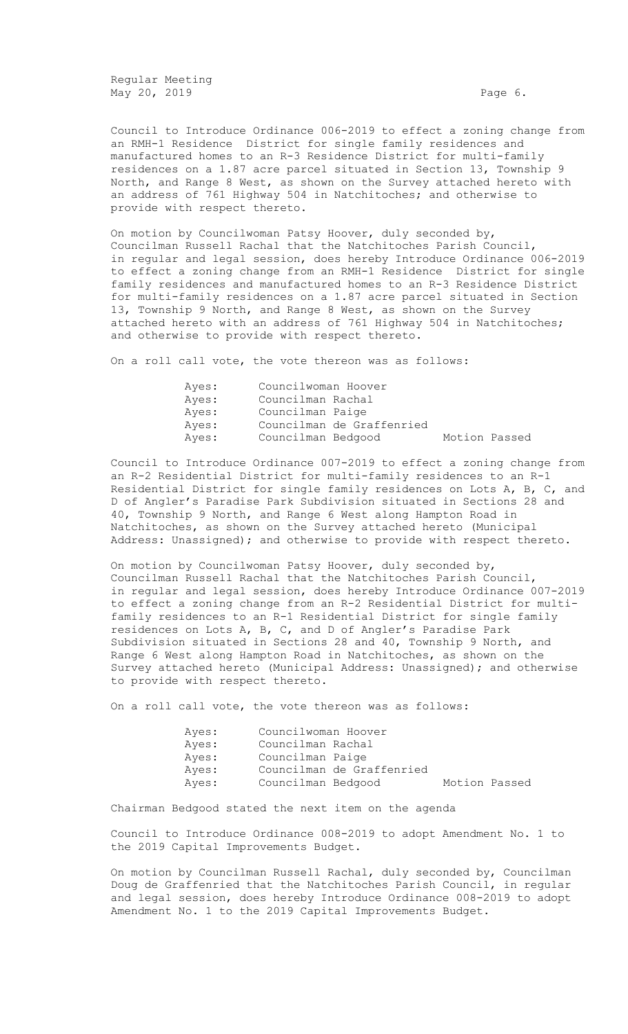Regular Meeting May 20, 2019 **Page 6.** 

Council to Introduce Ordinance 006-2019 to effect a zoning change from an RMH-1 Residence District for single family residences and manufactured homes to an R-3 Residence District for multi-family residences on a 1.87 acre parcel situated in Section 13, Township 9 North, and Range 8 West, as shown on the Survey attached hereto with an address of 761 Highway 504 in Natchitoches; and otherwise to provide with respect thereto.

On motion by Councilwoman Patsy Hoover, duly seconded by, Councilman Russell Rachal that the Natchitoches Parish Council, in regular and legal session, does hereby Introduce Ordinance 006-2019 to effect a zoning change from an RMH-1 Residence District for single family residences and manufactured homes to an R-3 Residence District for multi-family residences on a 1.87 acre parcel situated in Section 13, Township 9 North, and Range 8 West, as shown on the Survey attached hereto with an address of 761 Highway 504 in Natchitoches; and otherwise to provide with respect thereto.

On a roll call vote, the vote thereon was as follows:

| Aves: | Councilwoman Hoover |                           |               |
|-------|---------------------|---------------------------|---------------|
| Aves: | Councilman Rachal   |                           |               |
| Aves: | Councilman Paige    |                           |               |
| Ayes: |                     | Councilman de Graffenried |               |
| Ayes: | Councilman Bedgood  |                           | Motion Passed |

Council to Introduce Ordinance 007-2019 to effect a zoning change from an R-2 Residential District for multi-family residences to an R-1 Residential District for single family residences on Lots A, B, C, and D of Angler's Paradise Park Subdivision situated in Sections 28 and 40, Township 9 North, and Range 6 West along Hampton Road in Natchitoches, as shown on the Survey attached hereto (Municipal Address: Unassigned); and otherwise to provide with respect thereto.

On motion by Councilwoman Patsy Hoover, duly seconded by, Councilman Russell Rachal that the Natchitoches Parish Council, in regular and legal session, does hereby Introduce Ordinance 007-2019 to effect a zoning change from an R-2 Residential District for multifamily residences to an R-1 Residential District for single family residences on Lots A, B, C, and D of Angler's Paradise Park Subdivision situated in Sections 28 and 40, Township 9 North, and Range 6 West along Hampton Road in Natchitoches, as shown on the Survey attached hereto (Municipal Address: Unassigned); and otherwise to provide with respect thereto.

On a roll call vote, the vote thereon was as follows:

| Ayes: | Councilwoman Hoover |                           |               |  |
|-------|---------------------|---------------------------|---------------|--|
| Ayes: | Councilman Rachal   |                           |               |  |
| Ayes: | Councilman Paige    |                           |               |  |
| Aves: |                     | Councilman de Graffenried |               |  |
| Ayes: | Councilman Bedgood  |                           | Motion Passed |  |

Chairman Bedgood stated the next item on the agenda

Council to Introduce Ordinance 008-2019 to adopt Amendment No. 1 to the 2019 Capital Improvements Budget.

On motion by Councilman Russell Rachal, duly seconded by, Councilman Doug de Graffenried that the Natchitoches Parish Council, in regular and legal session, does hereby Introduce Ordinance 008-2019 to adopt Amendment No. 1 to the 2019 Capital Improvements Budget.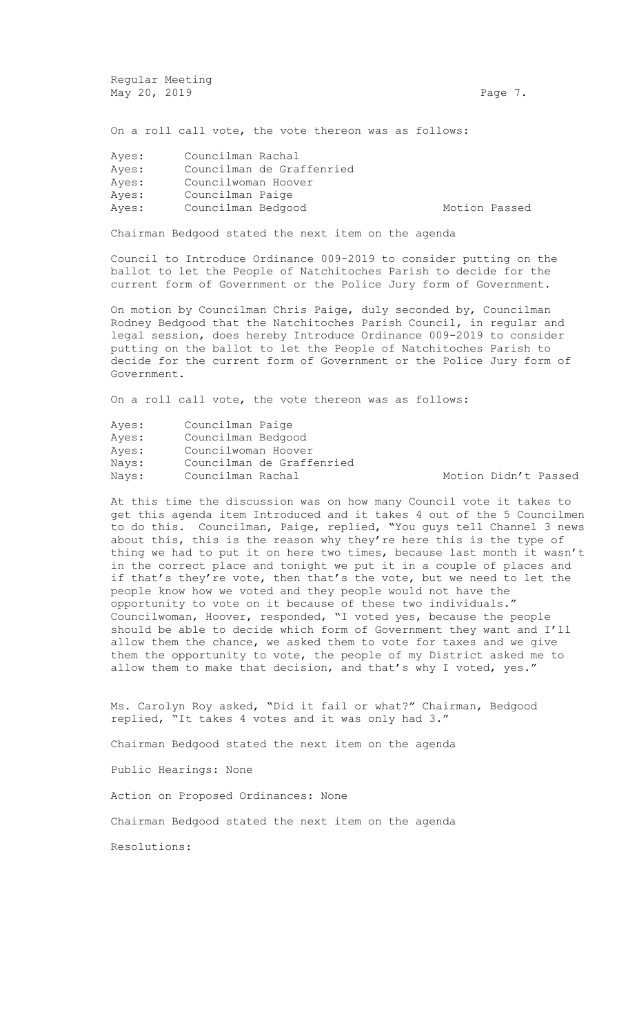Regular Meeting May 20, 2019 **Page 7. Page 7. Page 7. Page 7.** 

On a roll call vote, the vote thereon was as follows:

| Councilman Rachal         |                                           |  |
|---------------------------|-------------------------------------------|--|
| Councilman de Graffenried |                                           |  |
|                           |                                           |  |
| Councilman Paige          |                                           |  |
|                           | Motion Passed                             |  |
|                           | Councilwoman Hoover<br>Councilman Bedgood |  |

Chairman Bedgood stated the next item on the agenda

Council to Introduce Ordinance 009-2019 to consider putting on the ballot to let the People of Natchitoches Parish to decide for the current form of Government or the Police Jury form of Government.

On motion by Councilman Chris Paige, duly seconded by, Councilman Rodney Bedgood that the Natchitoches Parish Council, in regular and legal session, does hereby Introduce Ordinance 009-2019 to consider putting on the ballot to let the People of Natchitoches Parish to decide for the current form of Government or the Police Jury form of Government.

On a roll call vote, the vote thereon was as follows:

| Ayes: | Councilman Paige          |
|-------|---------------------------|
| Ayes: | Councilman Bedgood        |
| Ayes: | Councilwoman Hoover       |
| Nays: | Councilman de Graffenried |
| Nays: | Councilman Rachal         |

Motion Didn't Passed

At this time the discussion was on how many Council vote it takes to get this agenda item Introduced and it takes 4 out of the 5 Councilmen to do this. Councilman, Paige, replied, "You guys tell Channel 3 news about this, this is the reason why they're here this is the type of thing we had to put it on here two times, because last month it wasn't in the correct place and tonight we put it in a couple of places and if that's they're vote, then that's the vote, but we need to let the people know how we voted and they people would not have the opportunity to vote on it because of these two individuals." Councilwoman, Hoover, responded, "I voted yes, because the people should be able to decide which form of Government they want and I'll allow them the chance, we asked them to vote for taxes and we give them the opportunity to vote, the people of my District asked me to allow them to make that decision, and that's why I voted, yes."

Ms. Carolyn Roy asked, "Did it fail or what?" Chairman, Bedgood replied, "It takes 4 votes and it was only had 3."

Chairman Bedgood stated the next item on the agenda

Public Hearings: None

Action on Proposed Ordinances: None

Chairman Bedgood stated the next item on the agenda

Resolutions: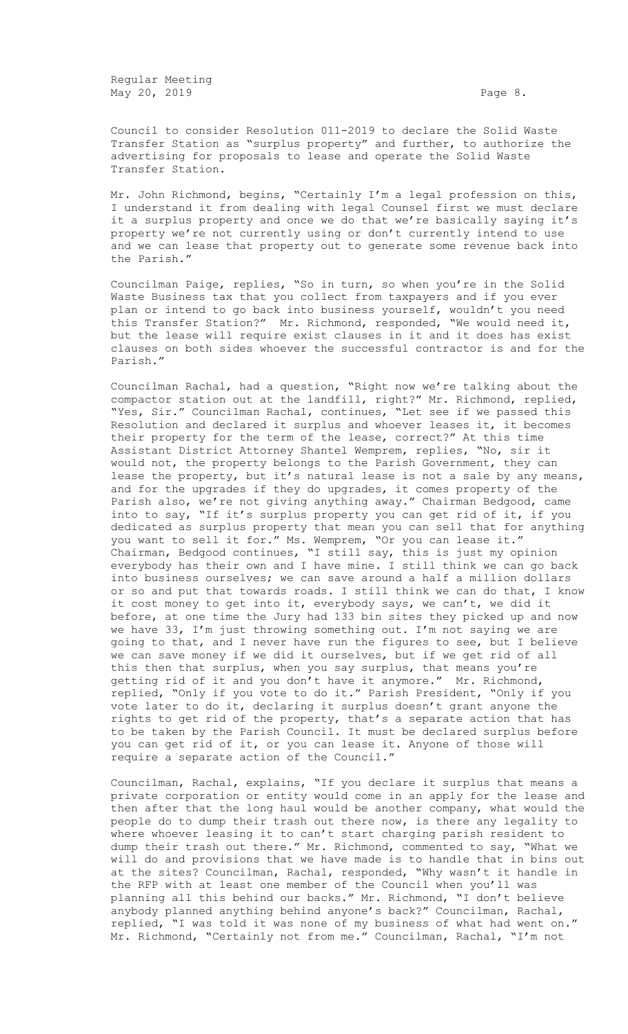Regular Meeting May 20, 2019 **Page 8.** 

Council to consider Resolution 011-2019 to declare the Solid Waste Transfer Station as "surplus property" and further, to authorize the advertising for proposals to lease and operate the Solid Waste Transfer Station.

Mr. John Richmond, begins, "Certainly I'm a legal profession on this, I understand it from dealing with legal Counsel first we must declare it a surplus property and once we do that we're basically saying it's property we're not currently using or don't currently intend to use and we can lease that property out to generate some revenue back into the Parish."

Councilman Paige, replies, "So in turn, so when you're in the Solid Waste Business tax that you collect from taxpayers and if you ever plan or intend to go back into business yourself, wouldn't you need this Transfer Station?" Mr. Richmond, responded, "We would need it, but the lease will require exist clauses in it and it does has exist clauses on both sides whoever the successful contractor is and for the Parish."

Councilman Rachal, had a question, "Right now we're talking about the compactor station out at the landfill, right?" Mr. Richmond, replied, "Yes, Sir." Councilman Rachal, continues, "Let see if we passed this Resolution and declared it surplus and whoever leases it, it becomes their property for the term of the lease, correct?" At this time Assistant District Attorney Shantel Wemprem, replies, "No, sir it would not, the property belongs to the Parish Government, they can lease the property, but it's natural lease is not a sale by any means, and for the upgrades if they do upgrades, it comes property of the Parish also, we're not giving anything away." Chairman Bedgood, came into to say, "If it's surplus property you can get rid of it, if you dedicated as surplus property that mean you can sell that for anything you want to sell it for." Ms. Wemprem, "Or you can lease it." Chairman, Bedgood continues, "I still say, this is just my opinion everybody has their own and I have mine. I still think we can go back into business ourselves; we can save around a half a million dollars or so and put that towards roads. I still think we can do that, I know it cost money to get into it, everybody says, we can't, we did it before, at one time the Jury had 133 bin sites they picked up and now we have 33, I'm just throwing something out. I'm not saying we are going to that, and I never have run the figures to see, but I believe we can save money if we did it ourselves, but if we get rid of all this then that surplus, when you say surplus, that means you're getting rid of it and you don't have it anymore." Mr. Richmond, replied, "Only if you vote to do it." Parish President, "Only if you vote later to do it, declaring it surplus doesn't grant anyone the rights to get rid of the property, that's a separate action that has to be taken by the Parish Council. It must be declared surplus before you can get rid of it, or you can lease it. Anyone of those will require a separate action of the Council."

Councilman, Rachal, explains, "If you declare it surplus that means a private corporation or entity would come in an apply for the lease and then after that the long haul would be another company, what would the people do to dump their trash out there now, is there any legality to where whoever leasing it to can't start charging parish resident to dump their trash out there." Mr. Richmond, commented to say, "What we will do and provisions that we have made is to handle that in bins out at the sites? Councilman, Rachal, responded, "Why wasn't it handle in the RFP with at least one member of the Council when you'll was planning all this behind our backs." Mr. Richmond, "I don't believe anybody planned anything behind anyone's back?" Councilman, Rachal, replied, "I was told it was none of my business of what had went on." Mr. Richmond, "Certainly not from me." Councilman, Rachal, "I'm not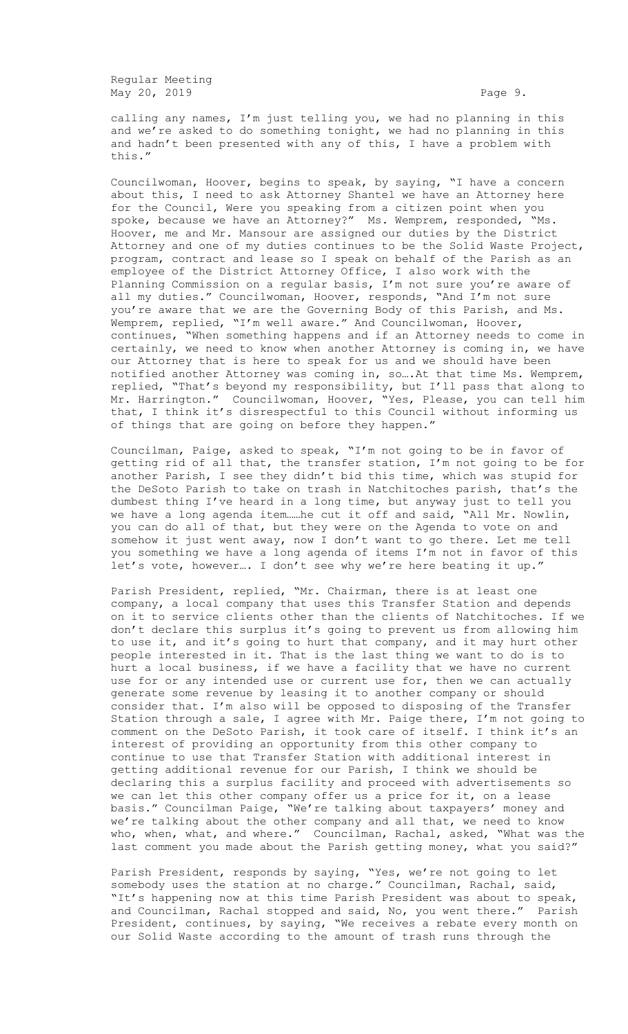Regular Meeting May 20, 2019 **Page 9. Page 9. Page 9. Page 9.** 

calling any names, I'm just telling you, we had no planning in this and we're asked to do something tonight, we had no planning in this and hadn't been presented with any of this, I have a problem with this."

Councilwoman, Hoover, begins to speak, by saying, "I have a concern about this, I need to ask Attorney Shantel we have an Attorney here for the Council, Were you speaking from a citizen point when you spoke, because we have an Attorney?" Ms. Wemprem, responded, "Ms. Hoover, me and Mr. Mansour are assigned our duties by the District Attorney and one of my duties continues to be the Solid Waste Project, program, contract and lease so I speak on behalf of the Parish as an employee of the District Attorney Office, I also work with the Planning Commission on a regular basis, I'm not sure you're aware of all my duties." Councilwoman, Hoover, responds, "And I'm not sure you're aware that we are the Governing Body of this Parish, and Ms. Wemprem, replied, "I'm well aware." And Councilwoman, Hoover, continues, "When something happens and if an Attorney needs to come in certainly, we need to know when another Attorney is coming in, we have our Attorney that is here to speak for us and we should have been notified another Attorney was coming in, so….At that time Ms. Wemprem, replied, "That's beyond my responsibility, but I'll pass that along to Mr. Harrington." Councilwoman, Hoover, "Yes, Please, you can tell him that, I think it's disrespectful to this Council without informing us of things that are going on before they happen."

Councilman, Paige, asked to speak, "I'm not going to be in favor of getting rid of all that, the transfer station, I'm not going to be for another Parish, I see they didn't bid this time, which was stupid for the DeSoto Parish to take on trash in Natchitoches parish, that's the dumbest thing I've heard in a long time, but anyway just to tell you we have a long agenda item……he cut it off and said, "All Mr. Nowlin, you can do all of that, but they were on the Agenda to vote on and somehow it just went away, now I don't want to go there. Let me tell you something we have a long agenda of items I'm not in favor of this let's vote, however…. I don't see why we're here beating it up."

Parish President, replied, "Mr. Chairman, there is at least one company, a local company that uses this Transfer Station and depends on it to service clients other than the clients of Natchitoches. If we don't declare this surplus it's going to prevent us from allowing him to use it, and it's going to hurt that company, and it may hurt other people interested in it. That is the last thing we want to do is to hurt a local business, if we have a facility that we have no current use for or any intended use or current use for, then we can actually generate some revenue by leasing it to another company or should consider that. I'm also will be opposed to disposing of the Transfer Station through a sale, I agree with Mr. Paige there, I'm not going to comment on the DeSoto Parish, it took care of itself. I think it's an interest of providing an opportunity from this other company to continue to use that Transfer Station with additional interest in getting additional revenue for our Parish, I think we should be declaring this a surplus facility and proceed with advertisements so we can let this other company offer us a price for it, on a lease basis." Councilman Paige, "We're talking about taxpayers' money and we're talking about the other company and all that, we need to know who, when, what, and where." Councilman, Rachal, asked, "What was the last comment you made about the Parish getting money, what you said?"

Parish President, responds by saying, "Yes, we're not going to let somebody uses the station at no charge." Councilman, Rachal, said, "It's happening now at this time Parish President was about to speak, and Councilman, Rachal stopped and said, No, you went there." Parish President, continues, by saying, "We receives a rebate every month on our Solid Waste according to the amount of trash runs through the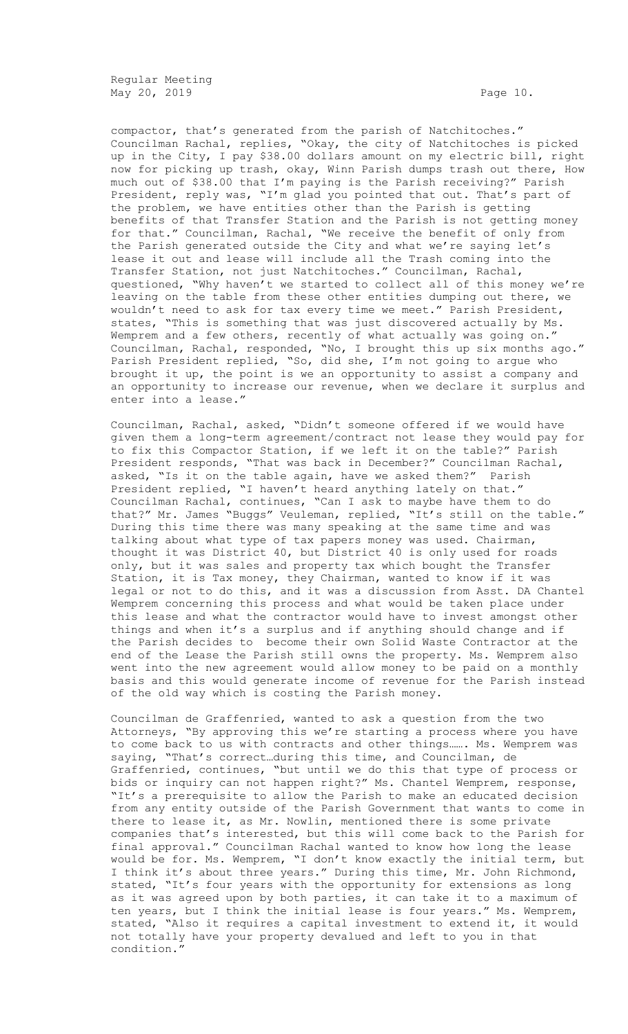Regular Meeting May 20, 2019 **Page 10.** Page 10.

compactor, that's generated from the parish of Natchitoches." Councilman Rachal, replies, "Okay, the city of Natchitoches is picked up in the City, I pay \$38.00 dollars amount on my electric bill, right now for picking up trash, okay, Winn Parish dumps trash out there, How much out of \$38.00 that I'm paying is the Parish receiving?" Parish President, reply was, "I'm glad you pointed that out. That's part of the problem, we have entities other than the Parish is getting benefits of that Transfer Station and the Parish is not getting money for that." Councilman, Rachal, "We receive the benefit of only from the Parish generated outside the City and what we're saying let's lease it out and lease will include all the Trash coming into the Transfer Station, not just Natchitoches." Councilman, Rachal, questioned, "Why haven't we started to collect all of this money we're leaving on the table from these other entities dumping out there, we wouldn't need to ask for tax every time we meet." Parish President, states, "This is something that was just discovered actually by Ms. Wemprem and a few others, recently of what actually was going on." Councilman, Rachal, responded, "No, I brought this up six months ago." Parish President replied, "So, did she, I'm not going to argue who brought it up, the point is we an opportunity to assist a company and an opportunity to increase our revenue, when we declare it surplus and enter into a lease."

Councilman, Rachal, asked, "Didn't someone offered if we would have given them a long-term agreement/contract not lease they would pay for to fix this Compactor Station, if we left it on the table?" Parish President responds, "That was back in December?" Councilman Rachal, asked, "Is it on the table again, have we asked them?" Parish President replied, "I haven't heard anything lately on that." Councilman Rachal, continues, "Can I ask to maybe have them to do that?" Mr. James "Buggs" Veuleman, replied, "It's still on the table." During this time there was many speaking at the same time and was talking about what type of tax papers money was used. Chairman, thought it was District 40, but District 40 is only used for roads only, but it was sales and property tax which bought the Transfer Station, it is Tax money, they Chairman, wanted to know if it was legal or not to do this, and it was a discussion from Asst. DA Chantel Wemprem concerning this process and what would be taken place under this lease and what the contractor would have to invest amongst other things and when it's a surplus and if anything should change and if the Parish decides to become their own Solid Waste Contractor at the end of the Lease the Parish still owns the property. Ms. Wemprem also went into the new agreement would allow money to be paid on a monthly basis and this would generate income of revenue for the Parish instead of the old way which is costing the Parish money.

Councilman de Graffenried, wanted to ask a question from the two Attorneys, "By approving this we're starting a process where you have to come back to us with contracts and other things……. Ms. Wemprem was saying, "That's correct…during this time, and Councilman, de Graffenried, continues, "but until we do this that type of process or bids or inquiry can not happen right?" Ms. Chantel Wemprem, response, "It's a prerequisite to allow the Parish to make an educated decision from any entity outside of the Parish Government that wants to come in there to lease it, as Mr. Nowlin, mentioned there is some private companies that's interested, but this will come back to the Parish for final approval." Councilman Rachal wanted to know how long the lease would be for. Ms. Wemprem, "I don't know exactly the initial term, but I think it's about three years." During this time, Mr. John Richmond, stated, "It's four years with the opportunity for extensions as long as it was agreed upon by both parties, it can take it to a maximum of ten years, but I think the initial lease is four years." Ms. Wemprem, stated, "Also it requires a capital investment to extend it, it would not totally have your property devalued and left to you in that condition."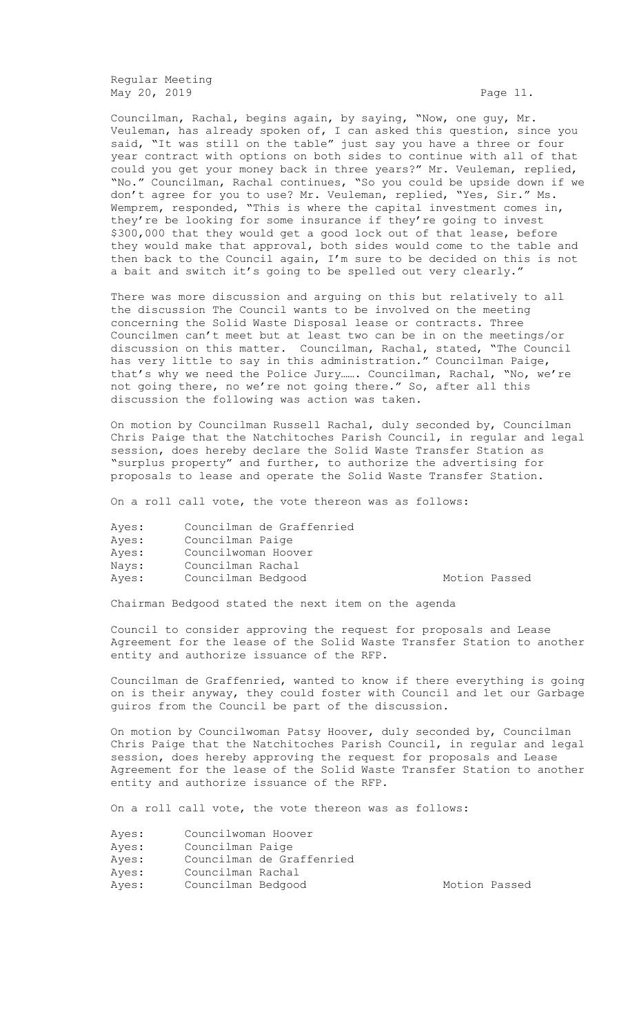Regular Meeting May 20, 2019 **Page 11.** 

Councilman, Rachal, begins again, by saying, "Now, one guy, Mr. Veuleman, has already spoken of, I can asked this question, since you said, "It was still on the table" just say you have a three or four year contract with options on both sides to continue with all of that could you get your money back in three years?" Mr. Veuleman, replied, "No." Councilman, Rachal continues, "So you could be upside down if we don't agree for you to use? Mr. Veuleman, replied, "Yes, Sir." Ms. Wemprem, responded, "This is where the capital investment comes in, they're be looking for some insurance if they're going to invest \$300,000 that they would get a good lock out of that lease, before they would make that approval, both sides would come to the table and then back to the Council again, I'm sure to be decided on this is not a bait and switch it's going to be spelled out very clearly."

There was more discussion and arguing on this but relatively to all the discussion The Council wants to be involved on the meeting concerning the Solid Waste Disposal lease or contracts. Three Councilmen can't meet but at least two can be in on the meetings/or discussion on this matter. Councilman, Rachal, stated, "The Council has very little to say in this administration." Councilman Paige, that's why we need the Police Jury……. Councilman, Rachal, "No, we're not going there, no we're not going there." So, after all this discussion the following was action was taken.

On motion by Councilman Russell Rachal, duly seconded by, Councilman Chris Paige that the Natchitoches Parish Council, in regular and legal session, does hereby declare the Solid Waste Transfer Station as "surplus property" and further, to authorize the advertising for proposals to lease and operate the Solid Waste Transfer Station.

On a roll call vote, the vote thereon was as follows:

| Ayes: | Councilman de Graffenried |
|-------|---------------------------|
| Ayes: | Councilman Paige          |
| Ayes: | Councilwoman Hoover       |
| Nays: | Councilman Rachal         |
| Ayes: | Councilman Bedgood        |

Motion Passed

Chairman Bedgood stated the next item on the agenda

Council to consider approving the request for proposals and Lease Agreement for the lease of the Solid Waste Transfer Station to another entity and authorize issuance of the RFP.

Councilman de Graffenried, wanted to know if there everything is going on is their anyway, they could foster with Council and let our Garbage guiros from the Council be part of the discussion.

On motion by Councilwoman Patsy Hoover, duly seconded by, Councilman Chris Paige that the Natchitoches Parish Council, in regular and legal session, does hereby approving the request for proposals and Lease Agreement for the lease of the Solid Waste Transfer Station to another entity and authorize issuance of the RFP.

On a roll call vote, the vote thereon was as follows:

- Ayes: Councilman Paige
- Ayes: Councilman de Graffenried
- Ayes: Councilman Rachal
- Ayes: Councilman Bedgood Motion Passed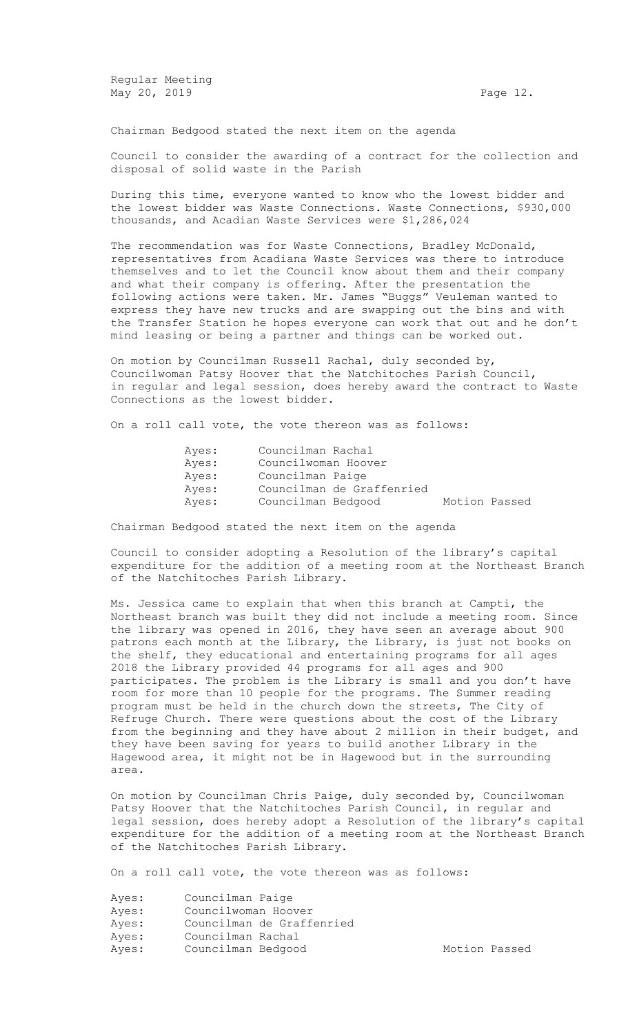Regular Meeting May 20, 2019 **Page 12. Page 12. Page 12. Page 12.** 

Chairman Bedgood stated the next item on the agenda

Council to consider the awarding of a contract for the collection and disposal of solid waste in the Parish

During this time, everyone wanted to know who the lowest bidder and the lowest bidder was Waste Connections. Waste Connections, \$930,000 thousands, and Acadian Waste Services were \$1,286,024

The recommendation was for Waste Connections, Bradley McDonald, representatives from Acadiana Waste Services was there to introduce themselves and to let the Council know about them and their company and what their company is offering. After the presentation the following actions were taken. Mr. James "Buggs" Veuleman wanted to express they have new trucks and are swapping out the bins and with the Transfer Station he hopes everyone can work that out and he don't mind leasing or being a partner and things can be worked out.

On motion by Councilman Russell Rachal, duly seconded by, Councilwoman Patsy Hoover that the Natchitoches Parish Council, in regular and legal session, does hereby award the contract to Waste Connections as the lowest bidder.

On a roll call vote, the vote thereon was as follows:

| Ayes: | Councilman Rachal   |                           |               |  |
|-------|---------------------|---------------------------|---------------|--|
| Ayes: | Councilwoman Hoover |                           |               |  |
| Ayes: | Councilman Paige    |                           |               |  |
| Aves: |                     | Councilman de Graffenried |               |  |
| Ayes: | Councilman Bedgood  |                           | Motion Passed |  |

Chairman Bedgood stated the next item on the agenda

Council to consider adopting a Resolution of the library's capital expenditure for the addition of a meeting room at the Northeast Branch of the Natchitoches Parish Library.

Ms. Jessica came to explain that when this branch at Campti, the Northeast branch was built they did not include a meeting room. Since the library was opened in 2016, they have seen an average about 900 patrons each month at the Library, the Library, is just not books on the shelf, they educational and entertaining programs for all ages 2018 the Library provided 44 programs for all ages and 900 participates. The problem is the Library is small and you don't have room for more than 10 people for the programs. The Summer reading program must be held in the church down the streets, The City of Refruge Church. There were questions about the cost of the Library from the beginning and they have about 2 million in their budget, and they have been saving for years to build another Library in the Hagewood area, it might not be in Hagewood but in the surrounding area.

On motion by Councilman Chris Paige, duly seconded by, Councilwoman Patsy Hoover that the Natchitoches Parish Council, in regular and legal session, does hereby adopt a Resolution of the library's capital expenditure for the addition of a meeting room at the Northeast Branch of the Natchitoches Parish Library.

On a roll call vote, the vote thereon was as follows:

| Ayes: | Councilman Paige          |
|-------|---------------------------|
| Ayes: | Councilwoman Hoover       |
| Ayes: | Councilman de Graffenried |
| Ayes: | Councilman Rachal         |
| Ayes: | Councilman Bedgood        |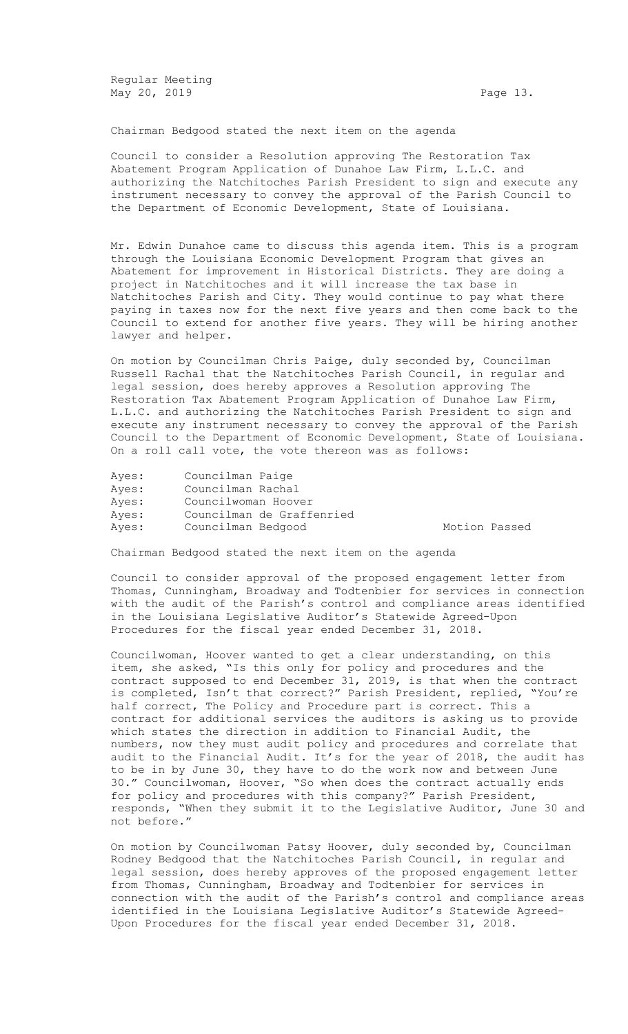Regular Meeting May 20, 2019 **Page 13.** 

Chairman Bedgood stated the next item on the agenda

Council to consider a Resolution approving The Restoration Tax Abatement Program Application of Dunahoe Law Firm, L.L.C. and authorizing the Natchitoches Parish President to sign and execute any instrument necessary to convey the approval of the Parish Council to the Department of Economic Development, State of Louisiana.

Mr. Edwin Dunahoe came to discuss this agenda item. This is a program through the Louisiana Economic Development Program that gives an Abatement for improvement in Historical Districts. They are doing a project in Natchitoches and it will increase the tax base in Natchitoches Parish and City. They would continue to pay what there paying in taxes now for the next five years and then come back to the Council to extend for another five years. They will be hiring another lawyer and helper.

On motion by Councilman Chris Paige, duly seconded by, Councilman Russell Rachal that the Natchitoches Parish Council, in regular and legal session, does hereby approves a Resolution approving The Restoration Tax Abatement Program Application of Dunahoe Law Firm, L.L.C. and authorizing the Natchitoches Parish President to sign and execute any instrument necessary to convey the approval of the Parish Council to the Department of Economic Development, State of Louisiana. On a roll call vote, the vote thereon was as follows:

| Ayes: | Councilman Paige          |
|-------|---------------------------|
| Ayes: | Councilman Rachal         |
| Ayes: | Councilwoman Hoover       |
| Ayes: | Councilman de Graffenried |
| Ayes: | Councilman Bedgood        |

Motion Passed

Chairman Bedgood stated the next item on the agenda

Council to consider approval of the proposed engagement letter from Thomas, Cunningham, Broadway and Todtenbier for services in connection with the audit of the Parish's control and compliance areas identified in the Louisiana Legislative Auditor's Statewide Agreed-Upon Procedures for the fiscal year ended December 31, 2018.

Councilwoman, Hoover wanted to get a clear understanding, on this item, she asked, "Is this only for policy and procedures and the contract supposed to end December 31, 2019, is that when the contract is completed, Isn't that correct?" Parish President, replied, "You're half correct, The Policy and Procedure part is correct. This a contract for additional services the auditors is asking us to provide which states the direction in addition to Financial Audit, the numbers, now they must audit policy and procedures and correlate that audit to the Financial Audit. It's for the year of 2018, the audit has to be in by June 30, they have to do the work now and between June 30." Councilwoman, Hoover, "So when does the contract actually ends for policy and procedures with this company?" Parish President, responds, "When they submit it to the Legislative Auditor, June 30 and not before."

On motion by Councilwoman Patsy Hoover, duly seconded by, Councilman Rodney Bedgood that the Natchitoches Parish Council, in regular and legal session, does hereby approves of the proposed engagement letter from Thomas, Cunningham, Broadway and Todtenbier for services in connection with the audit of the Parish's control and compliance areas identified in the Louisiana Legislative Auditor's Statewide Agreed-Upon Procedures for the fiscal year ended December 31, 2018.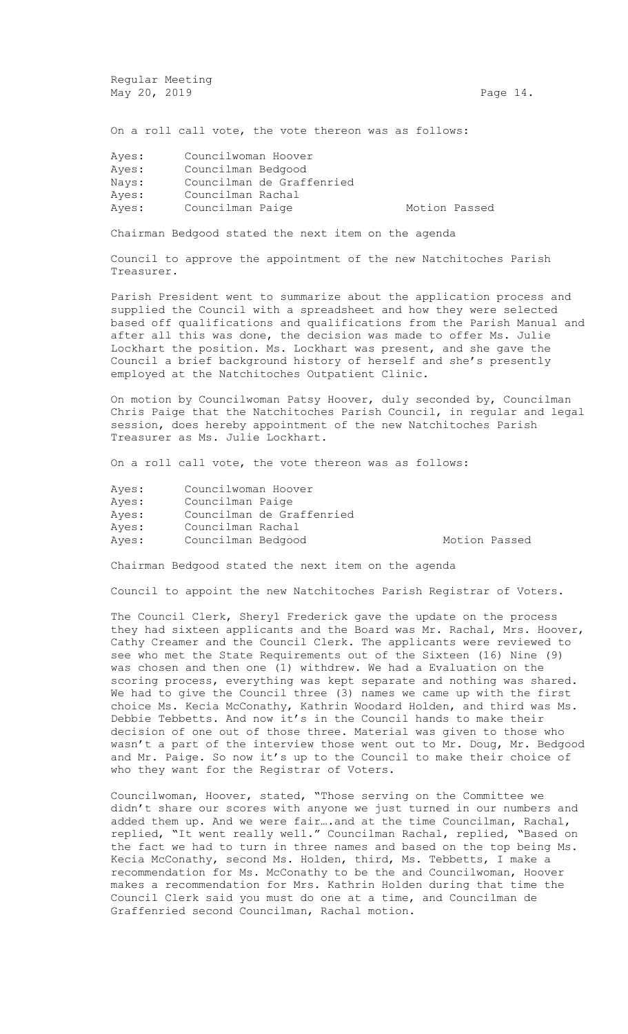Regular Meeting May 20, 2019 **Page 14.** 

On a roll call vote, the vote thereon was as follows:

| Ayes: | Councilwoman Hoover |                           |               |  |
|-------|---------------------|---------------------------|---------------|--|
| Ayes: | Councilman Bedgood  |                           |               |  |
| Navs: |                     | Councilman de Graffenried |               |  |
| Ayes: | Councilman Rachal   |                           |               |  |
| Ayes: | Councilman Paige    |                           | Motion Passed |  |

Chairman Bedgood stated the next item on the agenda

Council to approve the appointment of the new Natchitoches Parish Treasurer.

Parish President went to summarize about the application process and supplied the Council with a spreadsheet and how they were selected based off qualifications and qualifications from the Parish Manual and after all this was done, the decision was made to offer Ms. Julie Lockhart the position. Ms. Lockhart was present, and she gave the Council a brief background history of herself and she's presently employed at the Natchitoches Outpatient Clinic.

On motion by Councilwoman Patsy Hoover, duly seconded by, Councilman Chris Paige that the Natchitoches Parish Council, in regular and legal session, does hereby appointment of the new Natchitoches Parish Treasurer as Ms. Julie Lockhart.

On a roll call vote, the vote thereon was as follows:

| Ayes: | Councilwoman Hoover |                           |               |  |
|-------|---------------------|---------------------------|---------------|--|
| Ayes: | Councilman Paige    |                           |               |  |
| Ayes: |                     | Councilman de Graffenried |               |  |
| Ayes: | Councilman Rachal   |                           |               |  |
| Ayes: | Councilman Bedgood  |                           | Motion Passed |  |
|       |                     |                           |               |  |

Chairman Bedgood stated the next item on the agenda

Council to appoint the new Natchitoches Parish Registrar of Voters.

The Council Clerk, Sheryl Frederick gave the update on the process they had sixteen applicants and the Board was Mr. Rachal, Mrs. Hoover, Cathy Creamer and the Council Clerk. The applicants were reviewed to see who met the State Requirements out of the Sixteen (16) Nine (9) was chosen and then one (1) withdrew. We had a Evaluation on the scoring process, everything was kept separate and nothing was shared. We had to give the Council three (3) names we came up with the first choice Ms. Kecia McConathy, Kathrin Woodard Holden, and third was Ms. Debbie Tebbetts. And now it's in the Council hands to make their decision of one out of those three. Material was given to those who wasn't a part of the interview those went out to Mr. Doug, Mr. Bedgood and Mr. Paige. So now it's up to the Council to make their choice of who they want for the Registrar of Voters.

Councilwoman, Hoover, stated, "Those serving on the Committee we didn't share our scores with anyone we just turned in our numbers and added them up. And we were fair….and at the time Councilman, Rachal, replied, "It went really well." Councilman Rachal, replied, "Based on the fact we had to turn in three names and based on the top being Ms. Kecia McConathy, second Ms. Holden, third, Ms. Tebbetts, I make a recommendation for Ms. McConathy to be the and Councilwoman, Hoover makes a recommendation for Mrs. Kathrin Holden during that time the Council Clerk said you must do one at a time, and Councilman de Graffenried second Councilman, Rachal motion.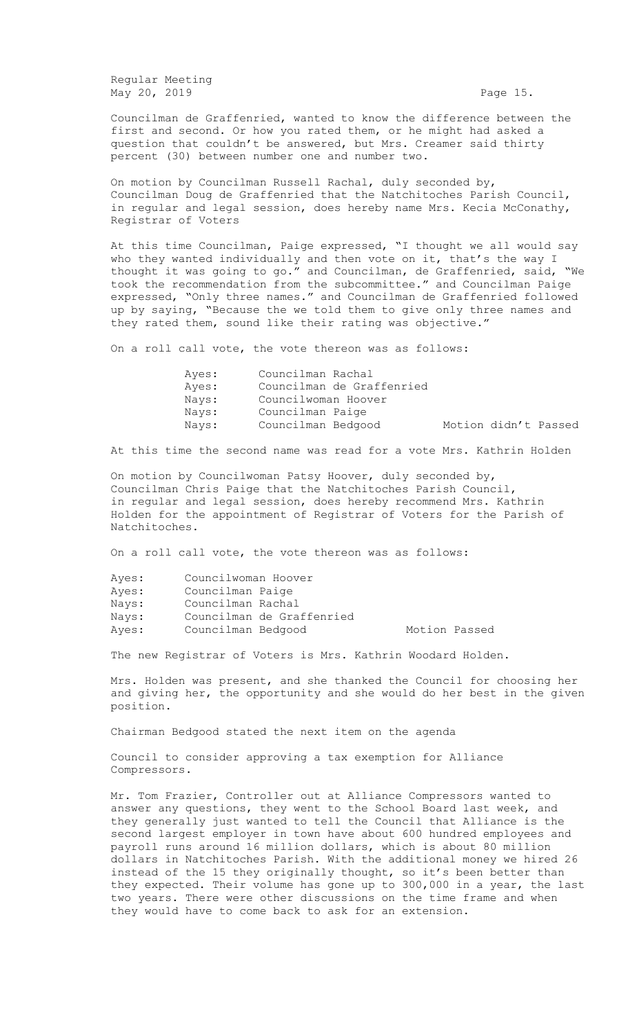Regular Meeting May 20, 2019 **Page 15.** Page 15.

Councilman de Graffenried, wanted to know the difference between the first and second. Or how you rated them, or he might had asked a question that couldn't be answered, but Mrs. Creamer said thirty percent (30) between number one and number two.

On motion by Councilman Russell Rachal, duly seconded by, Councilman Doug de Graffenried that the Natchitoches Parish Council, in regular and legal session, does hereby name Mrs. Kecia McConathy, Registrar of Voters

At this time Councilman, Paige expressed, "I thought we all would say who they wanted individually and then vote on it, that's the way I thought it was going to go." and Councilman, de Graffenried, said, "We took the recommendation from the subcommittee." and Councilman Paige expressed, "Only three names." and Councilman de Graffenried followed up by saying, "Because the we told them to give only three names and they rated them, sound like their rating was objective."

On a roll call vote, the vote thereon was as follows:

| Aves: | Councilman Rachal                          |
|-------|--------------------------------------------|
| Aves: | Councilman de Graffenried                  |
| Navs: | Councilwoman Hoover                        |
| Navs: | Councilman Paige                           |
| Nays: | Motion didn't Passed<br>Councilman Bedgood |

At this time the second name was read for a vote Mrs. Kathrin Holden

On motion by Councilwoman Patsy Hoover, duly seconded by, Councilman Chris Paige that the Natchitoches Parish Council, in regular and legal session, does hereby recommend Mrs. Kathrin Holden for the appointment of Registrar of Voters for the Parish of Natchitoches.

On a roll call vote, the vote thereon was as follows:

| Ayes: | Councilwoman Hoover |                           |               |  |
|-------|---------------------|---------------------------|---------------|--|
| Ayes: | Councilman Paige    |                           |               |  |
| Nays: | Councilman Rachal   |                           |               |  |
| Nays: |                     | Councilman de Graffenried |               |  |
| Ayes: | Councilman Bedgood  |                           | Motion Passed |  |

The new Registrar of Voters is Mrs. Kathrin Woodard Holden.

Mrs. Holden was present, and she thanked the Council for choosing her and giving her, the opportunity and she would do her best in the given position.

Chairman Bedgood stated the next item on the agenda

Council to consider approving a tax exemption for Alliance Compressors.

Mr. Tom Frazier, Controller out at Alliance Compressors wanted to answer any questions, they went to the School Board last week, and they generally just wanted to tell the Council that Alliance is the second largest employer in town have about 600 hundred employees and payroll runs around 16 million dollars, which is about 80 million dollars in Natchitoches Parish. With the additional money we hired 26 instead of the 15 they originally thought, so it's been better than they expected. Their volume has gone up to 300,000 in a year, the last two years. There were other discussions on the time frame and when they would have to come back to ask for an extension.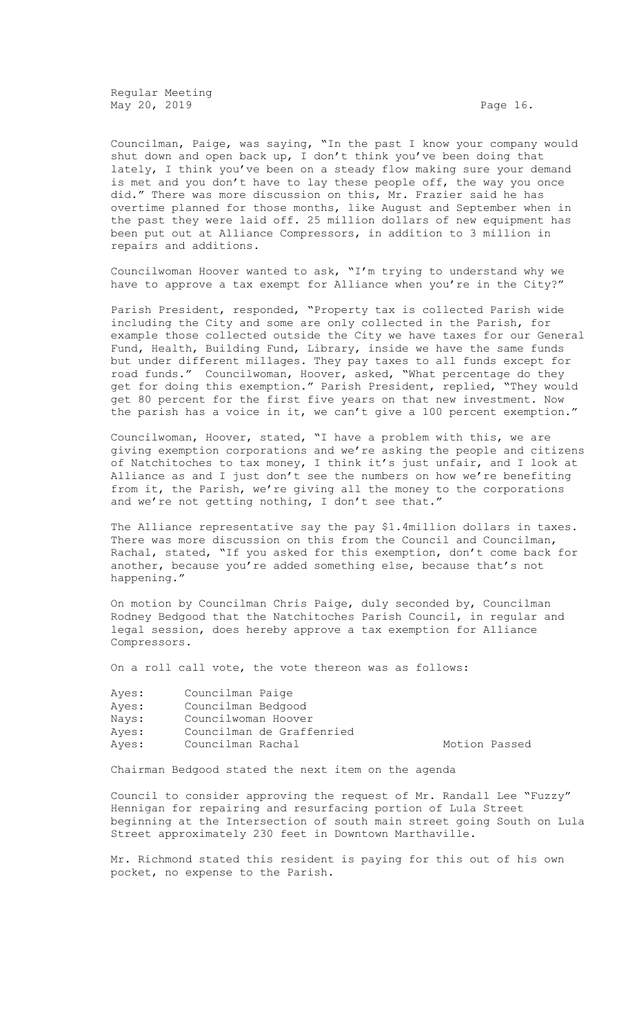Regular Meeting May 20, 2019 **Page 16.** 

Councilman, Paige, was saying, "In the past I know your company would shut down and open back up, I don't think you've been doing that lately, I think you've been on a steady flow making sure your demand is met and you don't have to lay these people off, the way you once did." There was more discussion on this, Mr. Frazier said he has overtime planned for those months, like August and September when in the past they were laid off. 25 million dollars of new equipment has been put out at Alliance Compressors, in addition to 3 million in repairs and additions.

Councilwoman Hoover wanted to ask, "I'm trying to understand why we have to approve a tax exempt for Alliance when you're in the City?"

Parish President, responded, "Property tax is collected Parish wide including the City and some are only collected in the Parish, for example those collected outside the City we have taxes for our General Fund, Health, Building Fund, Library, inside we have the same funds but under different millages. They pay taxes to all funds except for road funds." Councilwoman, Hoover, asked, "What percentage do they get for doing this exemption." Parish President, replied, "They would get 80 percent for the first five years on that new investment. Now the parish has a voice in it, we can't give a 100 percent exemption."

Councilwoman, Hoover, stated, "I have a problem with this, we are giving exemption corporations and we're asking the people and citizens of Natchitoches to tax money, I think it's just unfair, and I look at Alliance as and I just don't see the numbers on how we're benefiting from it, the Parish, we're giving all the money to the corporations and we're not getting nothing, I don't see that."

The Alliance representative say the pay \$1.4million dollars in taxes. There was more discussion on this from the Council and Councilman, Rachal, stated, "If you asked for this exemption, don't come back for another, because you're added something else, because that's not happening."

On motion by Councilman Chris Paige, duly seconded by, Councilman Rodney Bedgood that the Natchitoches Parish Council, in regular and legal session, does hereby approve a tax exemption for Alliance Compressors.

On a roll call vote, the vote thereon was as follows:

| Ayes: | Councilman Paige          |
|-------|---------------------------|
| Ayes: | Councilman Bedgood        |
| Nays: | Councilwoman Hoover       |
| Ayes: | Councilman de Graffenried |
| Ayes: | Councilman Rachal         |
|       |                           |

Motion Passed

Chairman Bedgood stated the next item on the agenda

Council to consider approving the request of Mr. Randall Lee "Fuzzy" Hennigan for repairing and resurfacing portion of Lula Street beginning at the Intersection of south main street going South on Lula Street approximately 230 feet in Downtown Marthaville.

Mr. Richmond stated this resident is paying for this out of his own pocket, no expense to the Parish.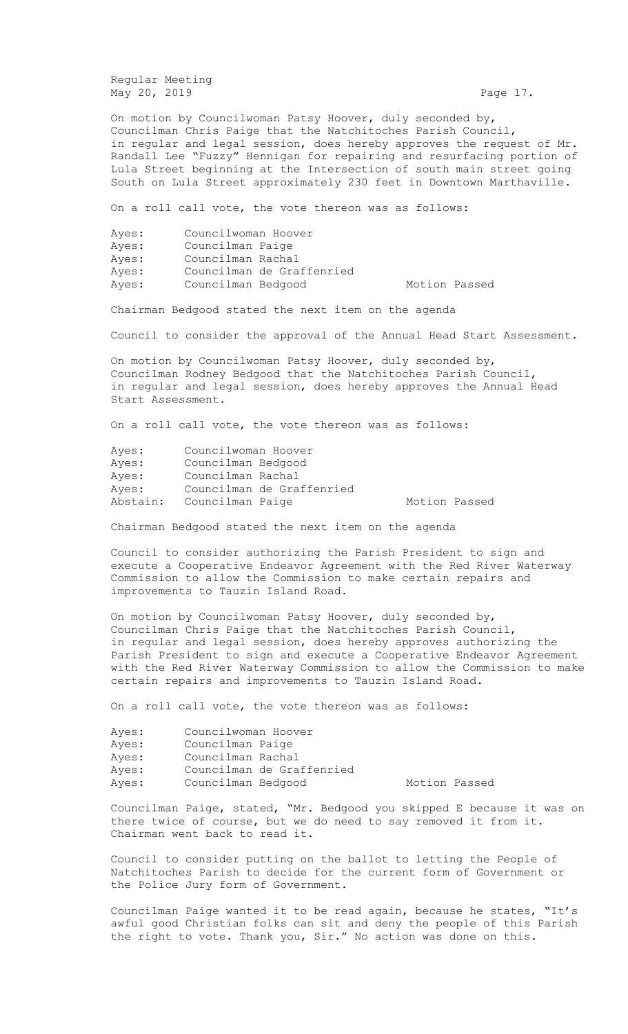Regular Meeting May 20, 2019 **Page 17.** Page 17.

On motion by Councilwoman Patsy Hoover, duly seconded by, Councilman Chris Paige that the Natchitoches Parish Council, in regular and legal session, does hereby approves the request of Mr. Randall Lee "Fuzzy" Hennigan for repairing and resurfacing portion of Lula Street beginning at the Intersection of south main street going South on Lula Street approximately 230 feet in Downtown Marthaville.

On a roll call vote, the vote thereon was as follows:

| Ayes: | Councilwoman Hoover |                           |               |  |
|-------|---------------------|---------------------------|---------------|--|
| Ayes: | Councilman Paige    |                           |               |  |
| Ayes: | Councilman Rachal   |                           |               |  |
| Ayes: |                     | Councilman de Graffenried |               |  |
| Ayes: | Councilman Bedgood  |                           | Motion Passed |  |

Chairman Bedgood stated the next item on the agenda

Council to consider the approval of the Annual Head Start Assessment.

On motion by Councilwoman Patsy Hoover, duly seconded by, Councilman Rodney Bedgood that the Natchitoches Parish Council, in regular and legal session, does hereby approves the Annual Head Start Assessment.

On a roll call vote, the vote thereon was as follows:

|  | Motion Passed                                                                                                   |  |
|--|-----------------------------------------------------------------------------------------------------------------|--|
|  | Councilwoman Hoover<br>Councilman Bedgood<br>Councilman Rachal<br>Councilman de Graffenried<br>Councilman Paige |  |

Chairman Bedgood stated the next item on the agenda

Council to consider authorizing the Parish President to sign and execute a Cooperative Endeavor Agreement with the Red River Waterway Commission to allow the Commission to make certain repairs and improvements to Tauzin Island Road.

On motion by Councilwoman Patsy Hoover, duly seconded by, Councilman Chris Paige that the Natchitoches Parish Council, in regular and legal session, does hereby approves authorizing the Parish President to sign and execute a Cooperative Endeavor Agreement with the Red River Waterway Commission to allow the Commission to make certain repairs and improvements to Tauzin Island Road.

On a roll call vote, the vote thereon was as follows:

| Ayes: | Councilwoman Hoover |                           |               |  |
|-------|---------------------|---------------------------|---------------|--|
| Ayes: | Councilman Paige    |                           |               |  |
| Ayes: | Councilman Rachal   |                           |               |  |
| Ayes: |                     | Councilman de Graffenried |               |  |
| Ayes: | Councilman Bedgood  |                           | Motion Passed |  |

Councilman Paige, stated, "Mr. Bedgood you skipped E because it was on there twice of course, but we do need to say removed it from it. Chairman went back to read it.

Council to consider putting on the ballot to letting the People of Natchitoches Parish to decide for the current form of Government or the Police Jury form of Government.

Councilman Paige wanted it to be read again, because he states, "It's awful good Christian folks can sit and deny the people of this Parish the right to vote. Thank you, Sir." No action was done on this.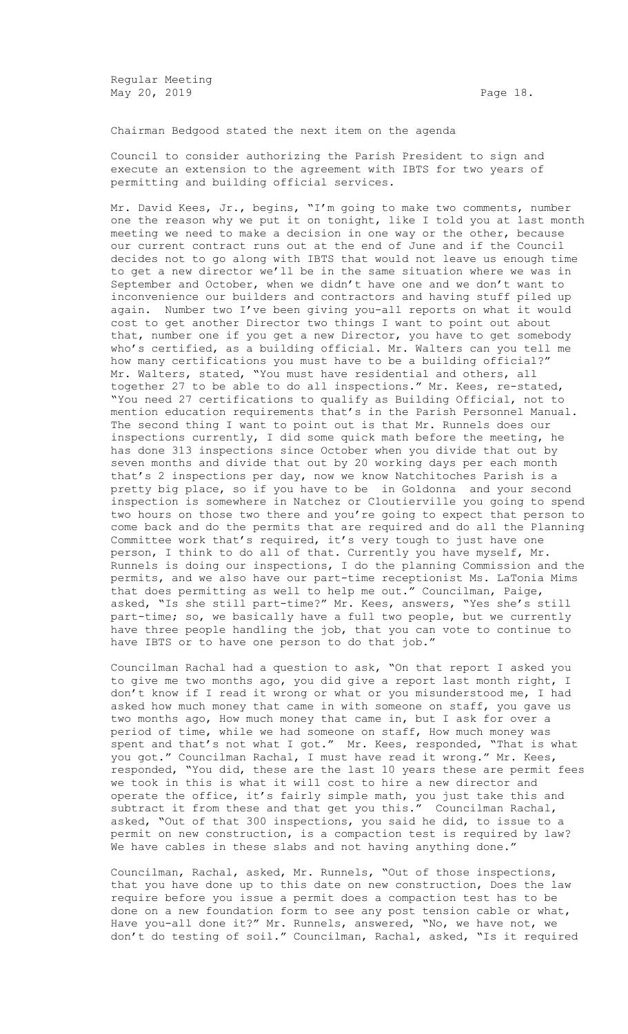Regular Meeting May 20, 2019 **Page 18.** 

Chairman Bedgood stated the next item on the agenda

Council to consider authorizing the Parish President to sign and execute an extension to the agreement with IBTS for two years of permitting and building official services.

Mr. David Kees, Jr., begins, "I'm going to make two comments, number one the reason why we put it on tonight, like I told you at last month meeting we need to make a decision in one way or the other, because our current contract runs out at the end of June and if the Council decides not to go along with IBTS that would not leave us enough time to get a new director we'll be in the same situation where we was in September and October, when we didn't have one and we don't want to inconvenience our builders and contractors and having stuff piled up again. Number two I've been giving you-all reports on what it would cost to get another Director two things I want to point out about that, number one if you get a new Director, you have to get somebody who's certified, as a building official. Mr. Walters can you tell me how many certifications you must have to be a building official?" Mr. Walters, stated, "You must have residential and others, all together 27 to be able to do all inspections." Mr. Kees, re-stated, "You need 27 certifications to qualify as Building Official, not to mention education requirements that's in the Parish Personnel Manual. The second thing I want to point out is that Mr. Runnels does our inspections currently, I did some quick math before the meeting, he has done 313 inspections since October when you divide that out by seven months and divide that out by 20 working days per each month that's 2 inspections per day, now we know Natchitoches Parish is a pretty big place, so if you have to be in Goldonna and your second inspection is somewhere in Natchez or Cloutierville you going to spend two hours on those two there and you're going to expect that person to come back and do the permits that are required and do all the Planning Committee work that's required, it's very tough to just have one person, I think to do all of that. Currently you have myself, Mr. Runnels is doing our inspections, I do the planning Commission and the permits, and we also have our part-time receptionist Ms. LaTonia Mims that does permitting as well to help me out." Councilman, Paige, asked, "Is she still part-time?" Mr. Kees, answers, "Yes she's still part-time; so, we basically have a full two people, but we currently have three people handling the job, that you can vote to continue to have IBTS or to have one person to do that job."

Councilman Rachal had a question to ask, "On that report I asked you to give me two months ago, you did give a report last month right, I don't know if I read it wrong or what or you misunderstood me, I had asked how much money that came in with someone on staff, you gave us two months ago, How much money that came in, but I ask for over a period of time, while we had someone on staff, How much money was spent and that's not what I got." Mr. Kees, responded, "That is what you got." Councilman Rachal, I must have read it wrong." Mr. Kees, responded, "You did, these are the last 10 years these are permit fees we took in this is what it will cost to hire a new director and operate the office, it's fairly simple math, you just take this and subtract it from these and that get you this." Councilman Rachal, asked, "Out of that 300 inspections, you said he did, to issue to a permit on new construction, is a compaction test is required by law? We have cables in these slabs and not having anything done."

Councilman, Rachal, asked, Mr. Runnels, "Out of those inspections, that you have done up to this date on new construction, Does the law require before you issue a permit does a compaction test has to be done on a new foundation form to see any post tension cable or what, Have you-all done it?" Mr. Runnels, answered, "No, we have not, we don't do testing of soil." Councilman, Rachal, asked, "Is it required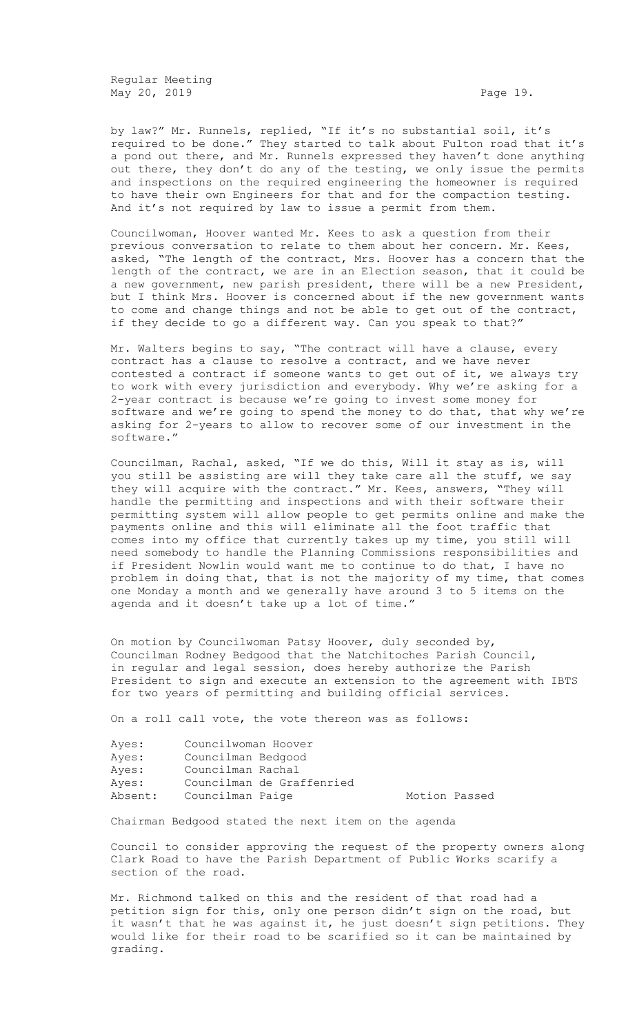Regular Meeting May 20, 2019 **Page 19.** Page 19.

by law?" Mr. Runnels, replied, "If it's no substantial soil, it's required to be done." They started to talk about Fulton road that it's a pond out there, and Mr. Runnels expressed they haven't done anything out there, they don't do any of the testing, we only issue the permits and inspections on the required engineering the homeowner is required to have their own Engineers for that and for the compaction testing. And it's not required by law to issue a permit from them.

Councilwoman, Hoover wanted Mr. Kees to ask a question from their previous conversation to relate to them about her concern. Mr. Kees, asked, "The length of the contract, Mrs. Hoover has a concern that the length of the contract, we are in an Election season, that it could be a new government, new parish president, there will be a new President, but I think Mrs. Hoover is concerned about if the new government wants to come and change things and not be able to get out of the contract, if they decide to go a different way. Can you speak to that?"

Mr. Walters begins to say, "The contract will have a clause, every contract has a clause to resolve a contract, and we have never contested a contract if someone wants to get out of it, we always try to work with every jurisdiction and everybody. Why we're asking for a 2-year contract is because we're going to invest some money for software and we're going to spend the money to do that, that why we're asking for 2-years to allow to recover some of our investment in the software."

Councilman, Rachal, asked, "If we do this, Will it stay as is, will you still be assisting are will they take care all the stuff, we say they will acquire with the contract." Mr. Kees, answers, "They will handle the permitting and inspections and with their software their permitting system will allow people to get permits online and make the payments online and this will eliminate all the foot traffic that comes into my office that currently takes up my time, you still will need somebody to handle the Planning Commissions responsibilities and if President Nowlin would want me to continue to do that, I have no problem in doing that, that is not the majority of my time, that comes one Monday a month and we generally have around 3 to 5 items on the agenda and it doesn't take up a lot of time."

On motion by Councilwoman Patsy Hoover, duly seconded by, Councilman Rodney Bedgood that the Natchitoches Parish Council, in regular and legal session, does hereby authorize the Parish President to sign and execute an extension to the agreement with IBTS for two years of permitting and building official services.

On a roll call vote, the vote thereon was as follows:

| Ayes:   | Councilwoman Hoover |                           |               |  |
|---------|---------------------|---------------------------|---------------|--|
| Ayes:   | Councilman Bedgood  |                           |               |  |
| Ayes:   | Councilman Rachal   |                           |               |  |
| Ayes:   |                     | Councilman de Graffenried |               |  |
| Absent: | Councilman Paige    |                           | Motion Passed |  |

Chairman Bedgood stated the next item on the agenda

Council to consider approving the request of the property owners along Clark Road to have the Parish Department of Public Works scarify a section of the road.

Mr. Richmond talked on this and the resident of that road had a petition sign for this, only one person didn't sign on the road, but it wasn't that he was against it, he just doesn't sign petitions. They would like for their road to be scarified so it can be maintained by grading.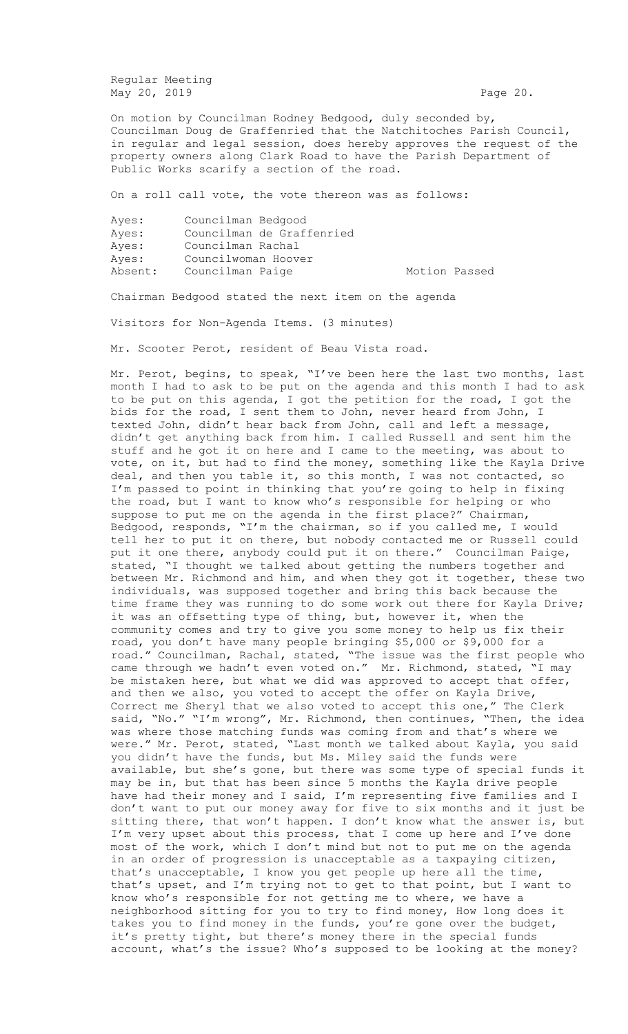Regular Meeting May 20, 2019 **Page 20.** 

On motion by Councilman Rodney Bedgood, duly seconded by, Councilman Doug de Graffenried that the Natchitoches Parish Council, in regular and legal session, does hereby approves the request of the property owners along Clark Road to have the Parish Department of Public Works scarify a section of the road.

On a roll call vote, the vote thereon was as follows:

| Ayes:   | Councilman Bedgood        |               |  |
|---------|---------------------------|---------------|--|
| Ayes:   | Councilman de Graffenried |               |  |
| Ayes:   | Councilman Rachal         |               |  |
| Ayes:   | Councilwoman Hoover       |               |  |
| Absent: | Councilman Paige          | Motion Passed |  |

Chairman Bedgood stated the next item on the agenda

Visitors for Non-Agenda Items. (3 minutes)

Mr. Scooter Perot, resident of Beau Vista road.

Mr. Perot, begins, to speak, "I've been here the last two months, last month I had to ask to be put on the agenda and this month I had to ask to be put on this agenda, I got the petition for the road, I got the bids for the road, I sent them to John, never heard from John, I texted John, didn't hear back from John, call and left a message, didn't get anything back from him. I called Russell and sent him the stuff and he got it on here and I came to the meeting, was about to vote, on it, but had to find the money, something like the Kayla Drive deal, and then you table it, so this month, I was not contacted, so I'm passed to point in thinking that you're going to help in fixing the road, but I want to know who's responsible for helping or who suppose to put me on the agenda in the first place?" Chairman, Bedgood, responds, "I'm the chairman, so if you called me, I would tell her to put it on there, but nobody contacted me or Russell could put it one there, anybody could put it on there." Councilman Paige, stated, "I thought we talked about getting the numbers together and between Mr. Richmond and him, and when they got it together, these two individuals, was supposed together and bring this back because the time frame they was running to do some work out there for Kayla Drive; it was an offsetting type of thing, but, however it, when the community comes and try to give you some money to help us fix their road, you don't have many people bringing \$5,000 or \$9,000 for a road." Councilman, Rachal, stated, "The issue was the first people who came through we hadn't even voted on." Mr. Richmond, stated, "I may be mistaken here, but what we did was approved to accept that offer, and then we also, you voted to accept the offer on Kayla Drive, Correct me Sheryl that we also voted to accept this one," The Clerk said, "No." "I'm wrong", Mr. Richmond, then continues, "Then, the idea was where those matching funds was coming from and that's where we were." Mr. Perot, stated, "Last month we talked about Kayla, you said you didn't have the funds, but Ms. Miley said the funds were available, but she's gone, but there was some type of special funds it may be in, but that has been since 5 months the Kayla drive people have had their money and I said, I'm representing five families and I don't want to put our money away for five to six months and it just be sitting there, that won't happen. I don't know what the answer is, but I'm very upset about this process, that I come up here and I've done most of the work, which I don't mind but not to put me on the agenda in an order of progression is unacceptable as a taxpaying citizen, that's unacceptable, I know you get people up here all the time, that's upset, and I'm trying not to get to that point, but I want to know who's responsible for not getting me to where, we have a neighborhood sitting for you to try to find money, How long does it takes you to find money in the funds, you're gone over the budget, it's pretty tight, but there's money there in the special funds account, what's the issue? Who's supposed to be looking at the money?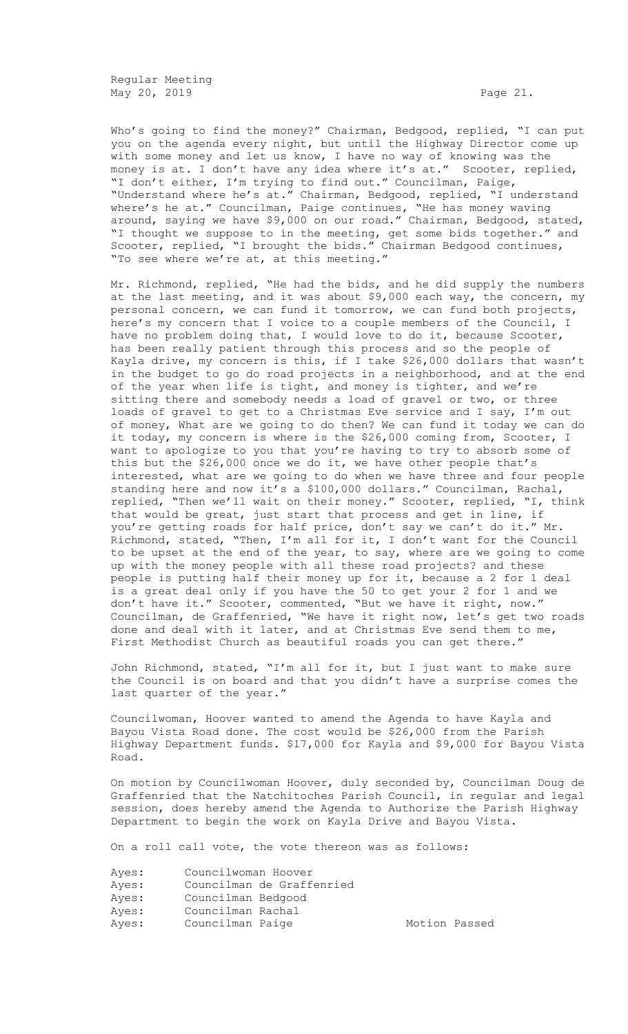Regular Meeting May 20, 2019 **Page 21.** 

Who's going to find the money?" Chairman, Bedgood, replied, "I can put you on the agenda every night, but until the Highway Director come up with some money and let us know, I have no way of knowing was the money is at. I don't have any idea where it's at." Scooter, replied, "I don't either, I'm trying to find out." Councilman, Paige, "Understand where he's at." Chairman, Bedgood, replied, "I understand where's he at." Councilman, Paige continues, "He has money waving around, saying we have \$9,000 on our road." Chairman, Bedgood, stated, "I thought we suppose to in the meeting, get some bids together." and Scooter, replied, "I brought the bids." Chairman Bedgood continues, "To see where we're at, at this meeting."

Mr. Richmond, replied, "He had the bids, and he did supply the numbers at the last meeting, and it was about \$9,000 each way, the concern, my personal concern, we can fund it tomorrow, we can fund both projects, here's my concern that I voice to a couple members of the Council, I have no problem doing that, I would love to do it, because Scooter, has been really patient through this process and so the people of Kayla drive, my concern is this, if I take \$26,000 dollars that wasn't in the budget to go do road projects in a neighborhood, and at the end of the year when life is tight, and money is tighter, and we're sitting there and somebody needs a load of gravel or two, or three loads of gravel to get to a Christmas Eve service and I say, I'm out of money, What are we going to do then? We can fund it today we can do it today, my concern is where is the \$26,000 coming from, Scooter, I want to apologize to you that you're having to try to absorb some of this but the \$26,000 once we do it, we have other people that's interested, what are we going to do when we have three and four people standing here and now it's a \$100,000 dollars." Councilman, Rachal, replied, "Then we'll wait on their money." Scooter, replied, "I, think that would be great, just start that process and get in line, if you're getting roads for half price, don't say we can't do it." Mr. Richmond, stated, "Then, I'm all for it, I don't want for the Council to be upset at the end of the year, to say, where are we going to come up with the money people with all these road projects? and these people is putting half their money up for it, because a 2 for 1 deal is a great deal only if you have the 50 to get your 2 for 1 and we don't have it." Scooter, commented, "But we have it right, now." Councilman, de Graffenried, "We have it right now, let's get two roads done and deal with it later, and at Christmas Eve send them to me, First Methodist Church as beautiful roads you can get there."

John Richmond, stated, "I'm all for it, but I just want to make sure the Council is on board and that you didn't have a surprise comes the last quarter of the year."

Councilwoman, Hoover wanted to amend the Agenda to have Kayla and Bayou Vista Road done. The cost would be \$26,000 from the Parish Highway Department funds. \$17,000 for Kayla and \$9,000 for Bayou Vista Road.

On motion by Councilwoman Hoover, duly seconded by, Councilman Doug de Graffenried that the Natchitoches Parish Council, in regular and legal session, does hereby amend the Agenda to Authorize the Parish Highway Department to begin the work on Kayla Drive and Bayou Vista.

On a roll call vote, the vote thereon was as follows:

| Ayes: | Councilwoman Hoover |                           |
|-------|---------------------|---------------------------|
| Ayes: |                     | Councilman de Graffenried |
| Ayes: | Councilman Bedgood  |                           |
| Ayes: | Councilman Rachal   |                           |
| Ayes: | Councilman Paige    |                           |

Motion Passed